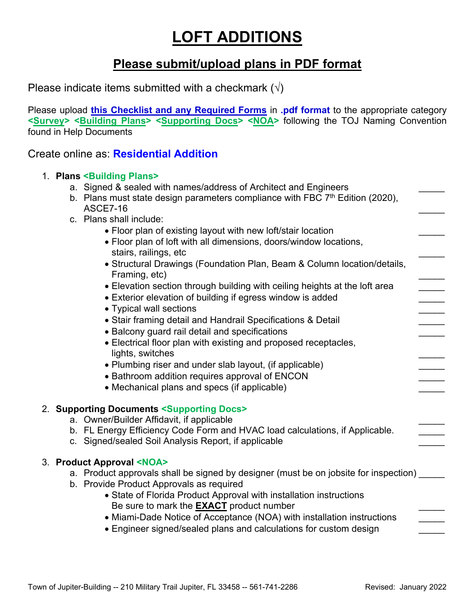## **LOFT ADDITIONS**

### **Please submit/upload plans in PDF format**

Please indicate items submitted with a checkmark  $(\sqrt{})$ 

Please upload **this Checklist and any Required Forms** in **.pdf format** to the appropriate category **<Survey> <Building Plans> <Supporting Docs> <NOA>** following the TOJ Naming Convention found in Help Documents

Create online as: **Residential Addition**

1. **Plans <Building Plans>**

|  | a. Signed & sealed with names/address of Architect and Engineers                                                                     |
|--|--------------------------------------------------------------------------------------------------------------------------------------|
|  | b. Plans must state design parameters compliance with FBC $7th$ Edition (2020),<br><b>ASCE7-16</b>                                   |
|  | c. Plans shall include:                                                                                                              |
|  | • Floor plan of existing layout with new loft/stair location                                                                         |
|  | • Floor plan of loft with all dimensions, doors/window locations,                                                                    |
|  | stairs, railings, etc<br>• Structural Drawings (Foundation Plan, Beam & Column location/details,<br>Framing, etc)                    |
|  | • Elevation section through building with ceiling heights at the loft area                                                           |
|  | • Exterior elevation of building if egress window is added<br>• Typical wall sections                                                |
|  | • Stair framing detail and Handrail Specifications & Detail                                                                          |
|  | • Balcony guard rail detail and specifications                                                                                       |
|  | • Electrical floor plan with existing and proposed receptacles,                                                                      |
|  | lights, switches                                                                                                                     |
|  | • Plumbing riser and under slab layout, (if applicable)                                                                              |
|  | • Bathroom addition requires approval of ENCON                                                                                       |
|  | • Mechanical plans and specs (if applicable)                                                                                         |
|  |                                                                                                                                      |
|  | 2. Supporting Documents <supporting docs=""></supporting>                                                                            |
|  | a. Owner/Builder Affidavit, if applicable                                                                                            |
|  | b. FL Energy Efficiency Code Form and HVAC load calculations, if Applicable.<br>c. Signed/sealed Soil Analysis Report, if applicable |
|  |                                                                                                                                      |
|  | 3. Product Approval <noa></noa>                                                                                                      |
|  | a. Product approvals shall be signed by designer (must be on jobsite for inspection)                                                 |
|  | b. Provide Product Approvals as required                                                                                             |
|  | • State of Florida Product Approval with installation instructions                                                                   |
|  | Be sure to mark the <b>EXACT</b> product number                                                                                      |
|  | • Miami-Dade Notice of Acceptance (NOA) with installation instructions                                                               |
|  | • Engineer signed/sealed plans and calculations for custom design                                                                    |
|  |                                                                                                                                      |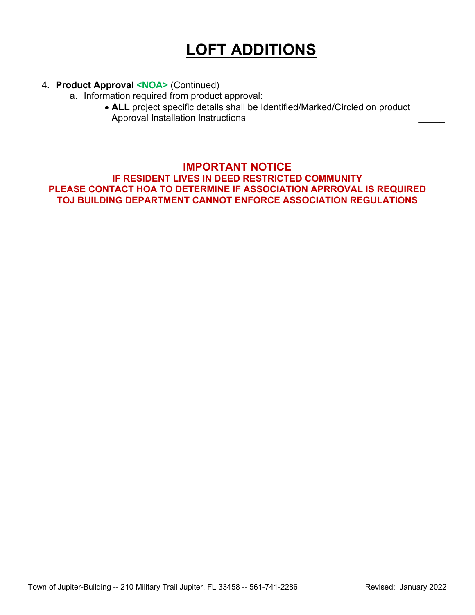# **LOFT ADDITIONS**

#### 4. **Product Approval <NOA>** (Continued)

- a. Information required from product approval:
	- **ALL** project specific details shall be Identified/Marked/Circled on product Approval Installation Instructions \_\_\_\_\_

#### **IMPORTANT NOTICE**

**IF RESIDENT LIVES IN DEED RESTRICTED COMMUNITY PLEASE CONTACT HOA TO DETERMINE IF ASSOCIATION APRROVAL IS REQUIRED TOJ BUILDING DEPARTMENT CANNOT ENFORCE ASSOCIATION REGULATIONS**